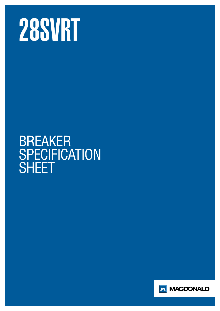

## BREAKER **SPECIFICATION SHEET**